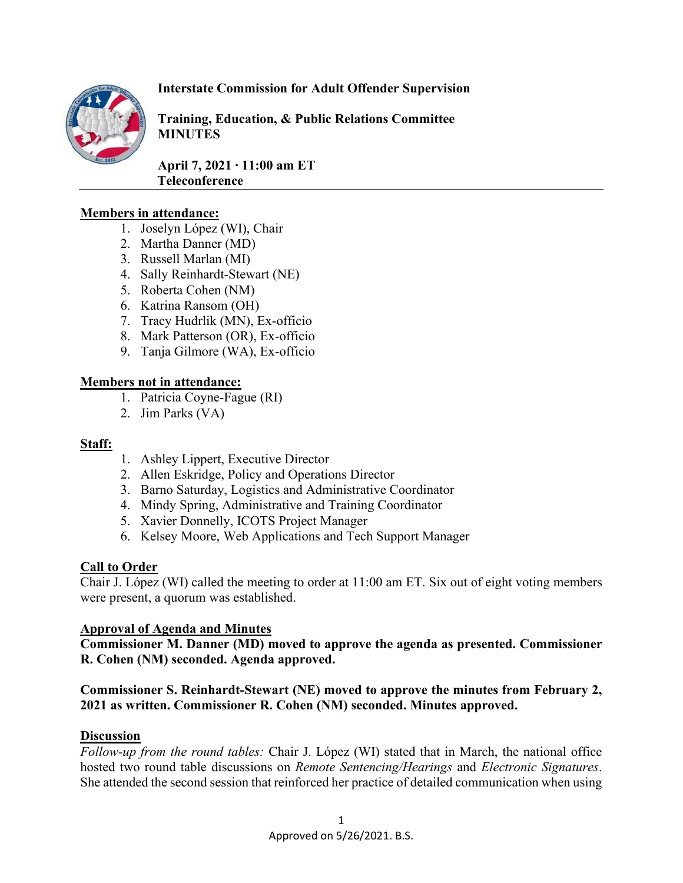

# **Interstate Commission for Adult Offender Supervision**

**Training, Education, & Public Relations Committee MINUTES**

**April 7, 2021 ∙ 11:00 am ET Teleconference** 

### **Members in attendance:**

- 1. Joselyn López (WI), Chair
- 2. Martha Danner (MD)
- 3. Russell Marlan (MI)
- 4. Sally Reinhardt-Stewart (NE)
- 5. Roberta Cohen (NM)
- 6. Katrina Ransom (OH)
- 7. Tracy Hudrlik (MN), Ex-officio
- 8. Mark Patterson (OR), Ex-officio
- 9. Tanja Gilmore (WA), Ex-officio

### **Members not in attendance:**

- 1. Patricia Coyne-Fague (RI)
- 2. Jim Parks (VA)

#### **Staff:**

- 1. Ashley Lippert, Executive Director
- 2. Allen Eskridge, Policy and Operations Director
- 3. Barno Saturday, Logistics and Administrative Coordinator
- 4. Mindy Spring, Administrative and Training Coordinator
- 5. Xavier Donnelly, ICOTS Project Manager
- 6. Kelsey Moore, Web Applications and Tech Support Manager

### **Call to Order**

Chair J. López (WI) called the meeting to order at 11:00 am ET. Six out of eight voting members were present, a quorum was established.

### **Approval of Agenda and Minutes**

**Commissioner M. Danner (MD) moved to approve the agenda as presented. Commissioner R. Cohen (NM) seconded. Agenda approved.**

# **Commissioner S. Reinhardt-Stewart (NE) moved to approve the minutes from February 2, 2021 as written. Commissioner R. Cohen (NM) seconded. Minutes approved.**

### **Discussion**

*Follow-up from the round tables:* Chair J. López (WI) stated that in March, the national office hosted two round table discussions on *Remote Sentencing/Hearings* and *Electronic Signatures*. She attended the second session that reinforced her practice of detailed communication when using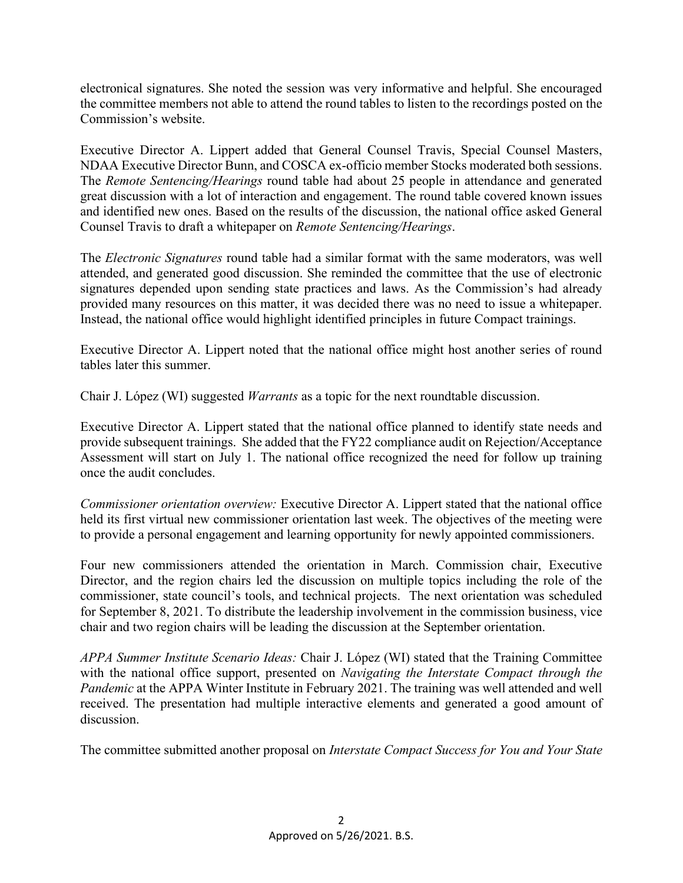electronical signatures. She noted the session was very informative and helpful. She encouraged the committee members not able to attend the round tables to listen to the recordings posted on the Commission's website.

Executive Director A. Lippert added that General Counsel Travis, Special Counsel Masters, NDAA Executive Director Bunn, and COSCA ex-officio member Stocks moderated both sessions. The *Remote Sentencing/Hearings* round table had about 25 people in attendance and generated great discussion with a lot of interaction and engagement. The round table covered known issues and identified new ones. Based on the results of the discussion, the national office asked General Counsel Travis to draft a whitepaper on *Remote Sentencing/Hearings*.

The *Electronic Signatures* round table had a similar format with the same moderators, was well attended, and generated good discussion. She reminded the committee that the use of electronic signatures depended upon sending state practices and laws. As the Commission's had already provided many resources on this matter, it was decided there was no need to issue a whitepaper. Instead, the national office would highlight identified principles in future Compact trainings.

Executive Director A. Lippert noted that the national office might host another series of round tables later this summer.

Chair J. López (WI) suggested *Warrants* as a topic for the next roundtable discussion.

Executive Director A. Lippert stated that the national office planned to identify state needs and provide subsequent trainings. She added that the FY22 compliance audit on Rejection/Acceptance Assessment will start on July 1. The national office recognized the need for follow up training once the audit concludes.

*Commissioner orientation overview:* Executive Director A. Lippert stated that the national office held its first virtual new commissioner orientation last week. The objectives of the meeting were to provide a personal engagement and learning opportunity for newly appointed commissioners.

Four new commissioners attended the orientation in March. Commission chair, Executive Director, and the region chairs led the discussion on multiple topics including the role of the commissioner, state council's tools, and technical projects. The next orientation was scheduled for September 8, 2021. To distribute the leadership involvement in the commission business, vice chair and two region chairs will be leading the discussion at the September orientation.

*APPA Summer Institute Scenario Ideas:* Chair J. López (WI) stated that the Training Committee with the national office support, presented on *Navigating the Interstate Compact through the Pandemic* at the APPA Winter Institute in February 2021. The training was well attended and well received. The presentation had multiple interactive elements and generated a good amount of discussion.

The committee submitted another proposal on *Interstate Compact Success for You and Your State*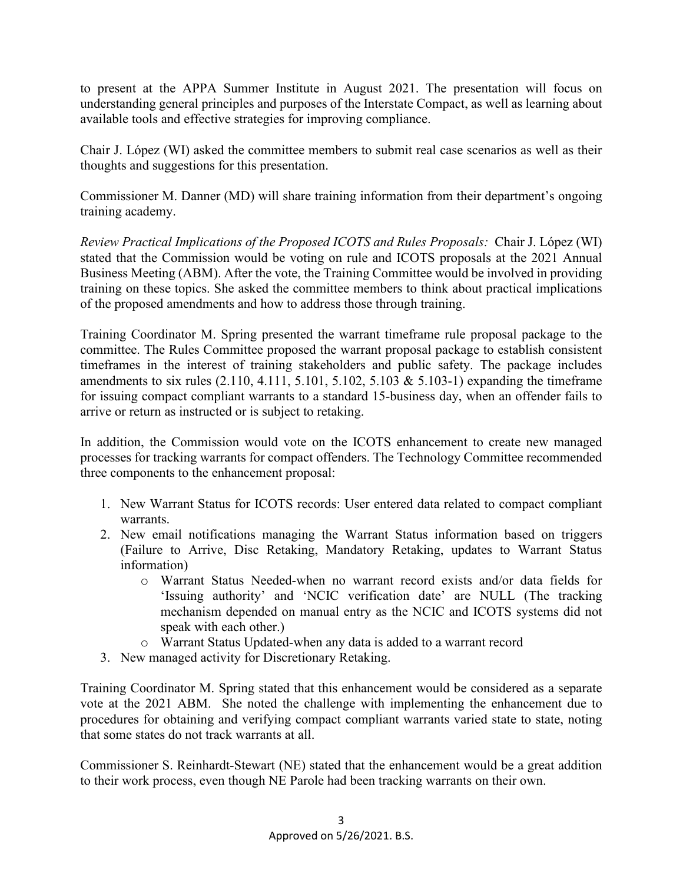to present at the APPA Summer Institute in August 2021. The presentation will focus on understanding general principles and purposes of the Interstate Compact, as well as learning about available tools and effective strategies for improving compliance.

Chair J. López (WI) asked the committee members to submit real case scenarios as well as their thoughts and suggestions for this presentation.

Commissioner M. Danner (MD) will share training information from their department's ongoing training academy.

*Review Practical Implications of the Proposed ICOTS and Rules Proposals:* Chair J. López (WI) stated that the Commission would be voting on rule and ICOTS proposals at the 2021 Annual Business Meeting (ABM). After the vote, the Training Committee would be involved in providing training on these topics. She asked the committee members to think about practical implications of the proposed amendments and how to address those through training.

Training Coordinator M. Spring presented the warrant timeframe rule proposal package to the committee. The Rules Committee proposed the warrant proposal package to establish consistent timeframes in the interest of training stakeholders and public safety. The package includes amendments to six rules  $(2.110, 4.111, 5.101, 5.102, 5.103 \& 5.103-1)$  expanding the timeframe for issuing compact compliant warrants to a standard 15-business day, when an offender fails to arrive or return as instructed or is subject to retaking.

In addition, the Commission would vote on the ICOTS enhancement to create new managed processes for tracking warrants for compact offenders. The Technology Committee recommended three components to the enhancement proposal:

- 1. New Warrant Status for ICOTS records: User entered data related to compact compliant warrants.
- 2. New email notifications managing the Warrant Status information based on triggers (Failure to Arrive, Disc Retaking, Mandatory Retaking, updates to Warrant Status information)
	- o Warrant Status Needed-when no warrant record exists and/or data fields for 'Issuing authority' and 'NCIC verification date' are NULL (The tracking mechanism depended on manual entry as the NCIC and ICOTS systems did not speak with each other.)
	- o Warrant Status Updated-when any data is added to a warrant record
- 3. New managed activity for Discretionary Retaking.

Training Coordinator M. Spring stated that this enhancement would be considered as a separate vote at the 2021 ABM. She noted the challenge with implementing the enhancement due to procedures for obtaining and verifying compact compliant warrants varied state to state, noting that some states do not track warrants at all.

Commissioner S. Reinhardt-Stewart (NE) stated that the enhancement would be a great addition to their work process, even though NE Parole had been tracking warrants on their own.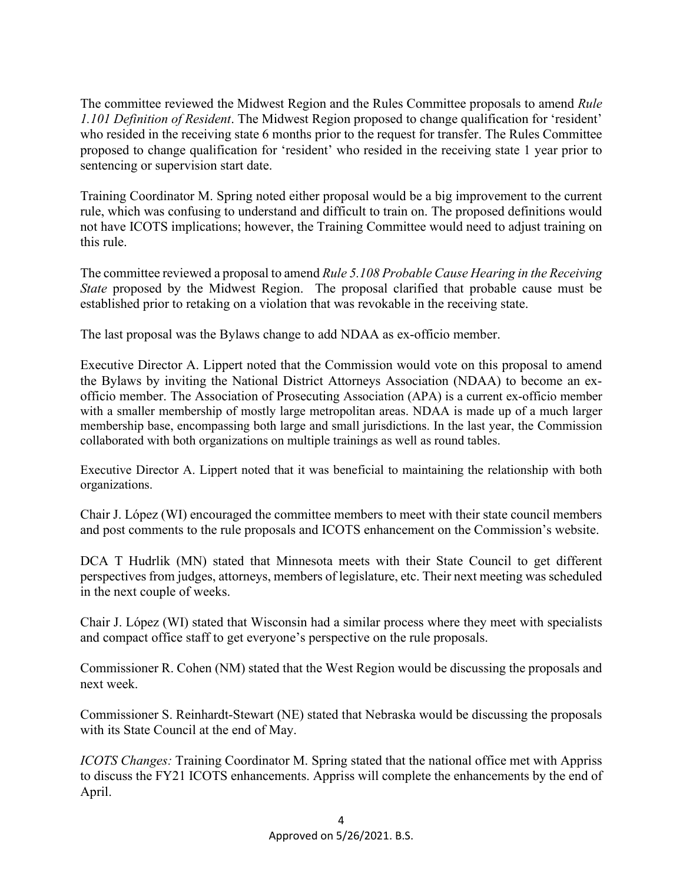The committee reviewed the Midwest Region and the Rules Committee proposals to amend *Rule 1.101 Definition of Resident*. The Midwest Region proposed to change qualification for 'resident' who resided in the receiving state 6 months prior to the request for transfer. The Rules Committee proposed to change qualification for 'resident' who resided in the receiving state 1 year prior to sentencing or supervision start date.

Training Coordinator M. Spring noted either proposal would be a big improvement to the current rule, which was confusing to understand and difficult to train on. The proposed definitions would not have ICOTS implications; however, the Training Committee would need to adjust training on this rule.

The committee reviewed a proposal to amend *Rule 5.108 Probable Cause Hearing in the Receiving State* proposed by the Midwest Region. The proposal clarified that probable cause must be established prior to retaking on a violation that was revokable in the receiving state.

The last proposal was the Bylaws change to add NDAA as ex-officio member.

Executive Director A. Lippert noted that the Commission would vote on this proposal to amend the Bylaws by inviting the National District Attorneys Association (NDAA) to become an exofficio member. The Association of Prosecuting Association (APA) is a current ex-officio member with a smaller membership of mostly large metropolitan areas. NDAA is made up of a much larger membership base, encompassing both large and small jurisdictions. In the last year, the Commission collaborated with both organizations on multiple trainings as well as round tables.

Executive Director A. Lippert noted that it was beneficial to maintaining the relationship with both organizations.

Chair J. López (WI) encouraged the committee members to meet with their state council members and post comments to the rule proposals and ICOTS enhancement on the Commission's website.

DCA T Hudrlik (MN) stated that Minnesota meets with their State Council to get different perspectives from judges, attorneys, members of legislature, etc. Their next meeting was scheduled in the next couple of weeks.

Chair J. López (WI) stated that Wisconsin had a similar process where they meet with specialists and compact office staff to get everyone's perspective on the rule proposals.

Commissioner R. Cohen (NM) stated that the West Region would be discussing the proposals and next week.

Commissioner S. Reinhardt-Stewart (NE) stated that Nebraska would be discussing the proposals with its State Council at the end of May.

*ICOTS Changes:* Training Coordinator M. Spring stated that the national office met with Appriss to discuss the FY21 ICOTS enhancements. Appriss will complete the enhancements by the end of April.